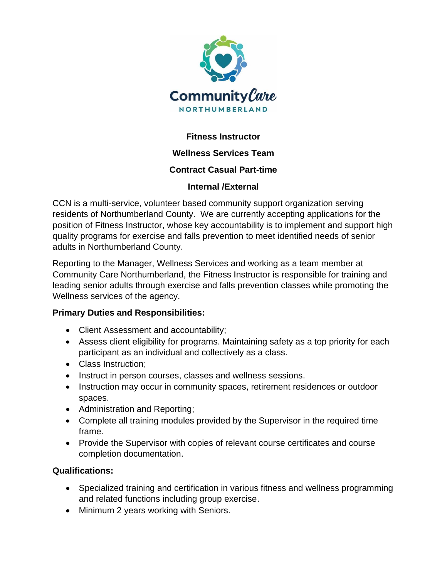

# **Fitness Instructor**

## **Wellness Services Team**

## **Contract Casual Part-time**

## **Internal /External**

CCN is a multi-service, volunteer based community support organization serving residents of Northumberland County. We are currently accepting applications for the position of Fitness Instructor, whose key accountability is to implement and support high quality programs for exercise and falls prevention to meet identified needs of senior adults in Northumberland County.

Reporting to the Manager, Wellness Services and working as a team member at Community Care Northumberland, the Fitness Instructor is responsible for training and leading senior adults through exercise and falls prevention classes while promoting the Wellness services of the agency.

#### **Primary Duties and Responsibilities:**

- Client Assessment and accountability;
- Assess client eligibility for programs. Maintaining safety as a top priority for each participant as an individual and collectively as a class.
- Class Instruction:
- Instruct in person courses, classes and wellness sessions.
- Instruction may occur in community spaces, retirement residences or outdoor spaces.
- Administration and Reporting;
- Complete all training modules provided by the Supervisor in the required time frame.
- Provide the Supervisor with copies of relevant course certificates and course completion documentation.

#### **Qualifications:**

- Specialized training and certification in various fitness and wellness programming and related functions including group exercise.
- Minimum 2 years working with Seniors.